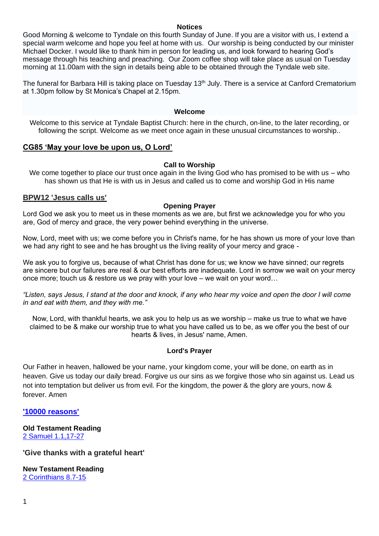#### **Notices**

Good Morning & welcome to Tyndale on this fourth Sunday of June. If you are a visitor with us, I extend a special warm welcome and hope you feel at home with us. Our worship is being conducted by our minister Michael Docker. I would like to thank him in person for leading us, and look forward to hearing God's message through his teaching and preaching. Our Zoom coffee shop will take place as usual on Tuesday morning at 11.00am with the sign in details being able to be obtained through the Tyndale web site.

The funeral for Barbara Hill is taking place on Tuesday 13<sup>th</sup> July. There is a service at Canford Crematorium at 1.30pm follow by St Monica's Chapel at 2.15pm.

#### **Welcome**

Welcome to this service at Tyndale Baptist Church: here in the church, on-line, to the later recording, or following the script. Welcome as we meet once again in these unusual circumstances to worship..

## **CG85 'May your love be upon us, O Lord'**

#### **Call to Worship**

We come together to place our trust once again in the living God who has promised to be with us – who has shown us that He is with us in Jesus and called us to come and worship God in His name

#### **BPW12 'Jesus calls us'**

#### **Opening Prayer**

Lord God we ask you to meet us in these moments as we are, but first we acknowledge you for who you are, God of mercy and grace, the very power behind everything in the universe.

Now, Lord, meet with us; we come before you in Christ's name, for he has shown us more of your love than we had any right to see and he has brought us the living reality of your mercy and grace -

We ask you to forgive us, because of what Christ has done for us; we know we have sinned; our regrets are sincere but our failures are real & our best efforts are inadequate. Lord in sorrow we wait on your mercy once more; touch us & restore us we pray with your love – we wait on your word…

*"Listen, says Jesus, I stand at the door and knock, if any who hear my voice and open the door I will come in and eat with them, and they with me."*

Now, Lord, with thankful hearts, we ask you to help us as we worship – make us true to what we have claimed to be & make our worship true to what you have called us to be, as we offer you the best of our hearts & lives, in Jesus' name, Amen.

## **Lord's Prayer**

Our Father in heaven, hallowed be your name, your kingdom come, your will be done, on earth as in heaven. Give us today our daily bread. Forgive us our sins as we forgive those who sin against us. Lead us not into temptation but deliver us from evil. For the kingdom, the power & the glory are yours, now & forever. Amen

**['10000 reasons'](https://www.youtube.com/watch?v=o2M58JuV-FU)**

**Old Testament Reading**  [2 Samuel 1.1,17-27](https://www.biblegateway.com/passage/?search=2+Samuel+1.1-27&version=NRSVA)

**'Give thanks with a grateful heart'**

**New Testament Reading** [2 Corinthians 8.7-15](https://www.biblegateway.com/passage/?search=2+Corinthians+8.7-15&version=NRSVA)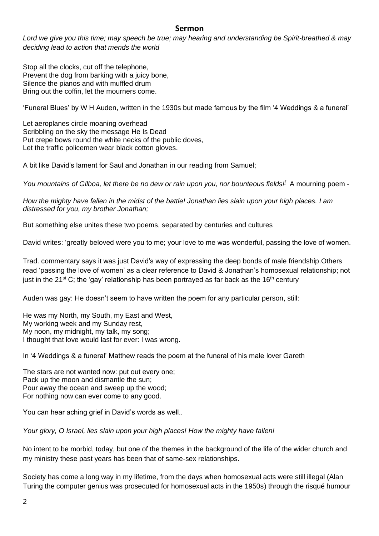# **Sermon**

*Lord we give you this time; may speech be true; may hearing and understanding be Spirit-breathed & may deciding lead to action that mends the world*

Stop all the clocks, cut off the telephone, Prevent the dog from barking with a juicy bone, Silence the pianos and with muffled drum Bring out the coffin, let the mourners come.

'Funeral Blues' by W H Auden, written in the 1930s but made famous by the film '4 Weddings & a funeral'

Let aeroplanes circle moaning overhead Scribbling on the sky the message He Is Dead Put crepe bows round the white necks of the public doves, Let the traffic policemen wear black cotton gloves.

A bit like David's lament for Saul and Jonathan in our reading from Samuel;

*You mountains of Gilboa, let there be no dew or rain upon you, nor bounteous fields![* A mourning poem -

*How the mighty have fallen in the midst of the battle! Jonathan lies slain upon your high places. I am distressed for you, my brother Jonathan;*

But something else unites these two poems, separated by centuries and cultures

David writes: 'greatly beloved were you to me; your love to me was wonderful, passing the love of women.

Trad. commentary says it was just David's way of expressing the deep bonds of male friendship.Others read 'passing the love of women' as a clear reference to David & Jonathan's homosexual relationship; not just in the 21<sup>st</sup> C; the 'gay' relationship has been portrayed as far back as the 16<sup>th</sup> century

Auden was gay: He doesn't seem to have written the poem for any particular person, still:

He was my North, my South, my East and West, My working week and my Sunday rest, My noon, my midnight, my talk, my song; I thought that love would last for ever: I was wrong.

In '4 Weddings & a funeral' Matthew reads the poem at the funeral of his male lover Gareth

The stars are not wanted now: put out every one; Pack up the moon and dismantle the sun; Pour away the ocean and sweep up the wood; For nothing now can ever come to any good.

You can hear aching grief in David's words as well..

*Your glory, O Israel, lies slain upon your high places! How the mighty have fallen!*

No intent to be morbid, today, but one of the themes in the background of the life of the wider church and my ministry these past years has been that of same-sex relationships.

Society has come a long way in my lifetime, from the days when homosexual acts were still illegal (Alan Turing the computer genius was prosecuted for homosexual acts in the 1950s) through the risqué humour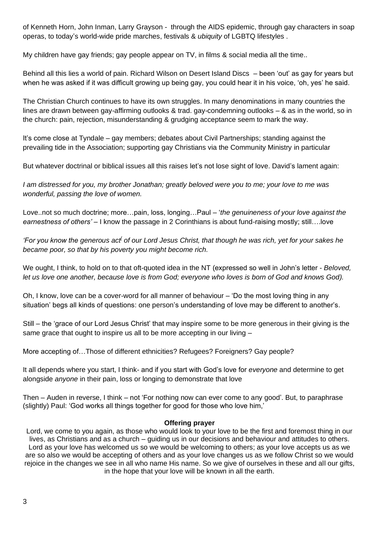of Kenneth Horn, John Inman, Larry Grayson - through the AIDS epidemic, through gay characters in soap operas, to today's world-wide pride marches, festivals & *ubiquity* of LGBTQ lifestyles .

My children have gay friends; gay people appear on TV, in films & social media all the time..

Behind all this lies a world of pain. Richard Wilson on Desert Island Discs – been 'out' as gay for years but when he was asked if it was difficult growing up being gay, you could hear it in his voice, 'oh, yes' he said.

The Christian Church continues to have its own struggles. In many denominations in many countries the lines are drawn between gay-affirming outlooks & trad. gay-condemning outlooks – & as in the world, so in the church: pain, rejection, misunderstanding & grudging acceptance seem to mark the way.

It's come close at Tyndale – gay members; debates about Civil Partnerships; standing against the prevailing tide in the Association; supporting gay Christians via the Community Ministry in particular

But whatever doctrinal or biblical issues all this raises let's not lose sight of love. David's lament again:

*I am distressed for you, my brother Jonathan; greatly beloved were you to me; your love to me was wonderful, passing the love of women.*

Love..not so much doctrine; more…pain, loss, longing…Paul – '*the genuineness of your love against the earnestness of others'* – I know the passage in 2 Corinthians is about fund-raising mostly; still….love

*'For you know the generous act[ of our Lord Jesus Christ, that though he was rich, yet for your sakes he became poor, so that by his poverty you might become rich.*

We ought, I think, to hold on to that oft-quoted idea in the NT (expressed so well in John's letter - *Beloved, let us love one another, because love is from God; everyone who loves is born of God and knows God).*

Oh, I know, love can be a cover-word for all manner of behaviour – 'Do the most loving thing in any situation' begs all kinds of questions: one person's understanding of love may be different to another's.

Still – the 'grace of our Lord Jesus Christ' that may inspire some to be more generous in their giving is the same grace that ought to inspire us all to be more accepting in our living –

More accepting of…Those of different ethnicities? Refugees? Foreigners? Gay people?

It all depends where you start, I think- and if you start with God's love for *everyone* and determine to get alongside *anyone* in their pain, loss or longing to demonstrate that love

Then – Auden in reverse, I think – not 'For nothing now can ever come to any good'. But, to paraphrase (slightly) Paul: 'God works all things together for good for those who love him,'

#### **Offering prayer**

Lord, we come to you again, as those who would look to your love to be the first and foremost thing in our lives, as Christians and as a church – guiding us in our decisions and behaviour and attitudes to others. Lord as your love has welcomed us so we would be welcoming to others; as your love accepts us as we are so also we would be accepting of others and as your love changes us as we follow Christ so we would rejoice in the changes we see in all who name His name. So we give of ourselves in these and all our gifts, in the hope that your love will be known in all the earth.